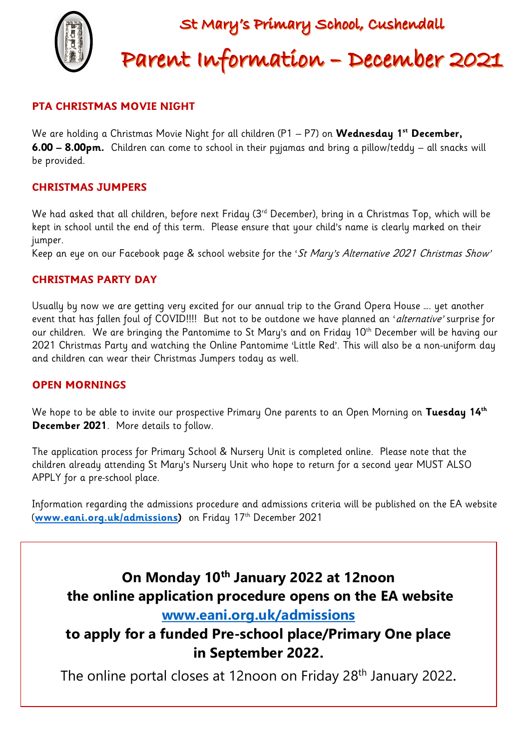

#### **PTA CHRISTMAS MOVIE NIGHT**

We are holding a Christmas Movie Night for all children (P1 – P7) on **Wednesday 1st December, 6.00 – 8.00pm.** Children can come to school in their pyjamas and bring a pillow/teddy – all snacks will be provided.

#### **CHRISTMAS JUMPERS**

We had asked that all children, before next Friday (3<sup>rd</sup> December), bring in a Christmas Top, which will be kept in school until the end of this term. Please ensure that your child's name is clearly marked on their jumper.

Keep an eye on our Facebook page & school website for the 'St Mary's Alternative 2021 Christmas Show'

#### **CHRISTMAS PARTY DAY**

Usually by now we are getting very excited for our annual trip to the Grand Opera House …. yet another event that has fallen foul of COVID!!!! But not to be outdone we have planned an 'alternative' surprise for our children. We are bringing the Pantomime to St Mary's and on Friday 10<sup>th</sup> December will be having our 2021 Christmas Party and watching the Online Pantomime 'Little Red'. This will also be a non-uniform day and children can wear their Christmas Jumpers today as well.

#### **OPEN MORNINGS**

We hope to be able to invite our prospective Primary One parents to an Open Morning on **Tuesday 14th December 2021**. More details to follow.

The application process for Primary School & Nursery Unit is completed online. Please note that the children already attending St Mary's Nursery Unit who hope to return for a second year MUST ALSO APPLY for a pre-school place.

Information regarding the admissions procedure and admissions criteria will be published on the EA website (**[www.eani.org.uk/admissions\)](http://www.eani.org.uk/admissions)** on Friday 17 th December 2021

# **On Monday 10th January 2022 at 12noon the online application procedure opens on the EA website**

### **[www.eani.org.uk/admissions](http://www.eani.org.uk/admissions)**

## **to apply for a funded Pre-school place/Primary One place in September 2022.**

The online portal closes at 12noon on Friday 28<sup>th</sup> January 2022.

 $\overline{a}$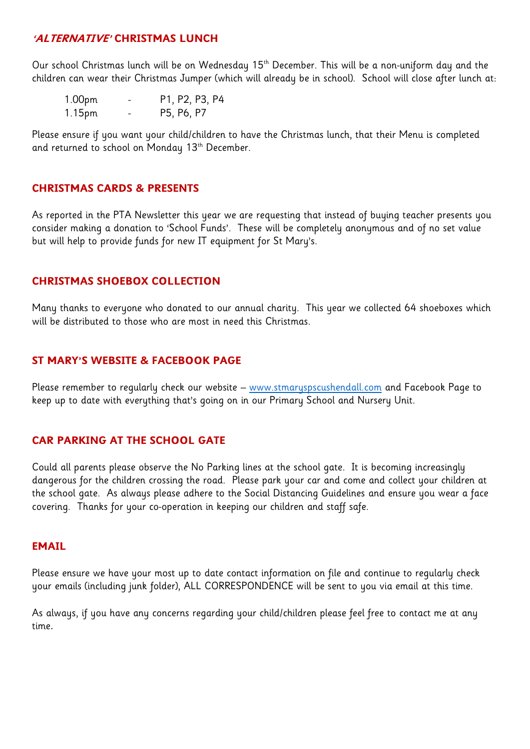#### **'ALTERNATIVE' CHRISTMAS LUNCH**

Our school Christmas lunch will be on Wednesday 15<sup>th</sup> December. This will be a non-uniform day and the children can wear their Christmas Jumper (which will already be in school). School will close after lunch at:

| 1.00pm | - | P1, P2, P3, P4 |
|--------|---|----------------|
| 1.15pm | - | P5, P6, P7     |

Please ensure if you want your child/children to have the Christmas lunch, that their Menu is completed and returned to school on Monday 13<sup>th</sup> December.

#### **CHRISTMAS CARDS & PRESENTS**

As reported in the PTA Newsletter this year we are requesting that instead of buying teacher presents you consider making a donation to 'School Funds'. These will be completely anonymous and of no set value but will help to provide funds for new IT equipment for St Mary's.

#### **CHRISTMAS SHOEBOX COLLECTION**

Many thanks to everyone who donated to our annual charity. This year we collected 64 shoeboxes which will be distributed to those who are most in need this Christmas.

#### **ST MARY'S WEBSITE & FACEBOOK PAGE**

Please remember to regularly check our website – [www.stmaryspscushendall.com](http://www.stmaryspscushendall.com/) and Facebook Page to keep up to date with everything that's going on in our Primary School and Nursery Unit.

#### **CAR PARKING AT THE SCHOOL GATE**

Could all parents please observe the No Parking lines at the school gate. It is becoming increasingly dangerous for the children crossing the road. Please park your car and come and collect your children at the school gate. As always please adhere to the Social Distancing Guidelines and ensure you wear a face covering. Thanks for your co-operation in keeping our children and staff safe.

#### **EMAIL**

Please ensure we have your most up to date contact information on file and continue to regularly check your emails (including junk folder), ALL CORRESPONDENCE will be sent to you via email at this time.

As always, if you have any concerns regarding your child/children please feel free to contact me at any time.